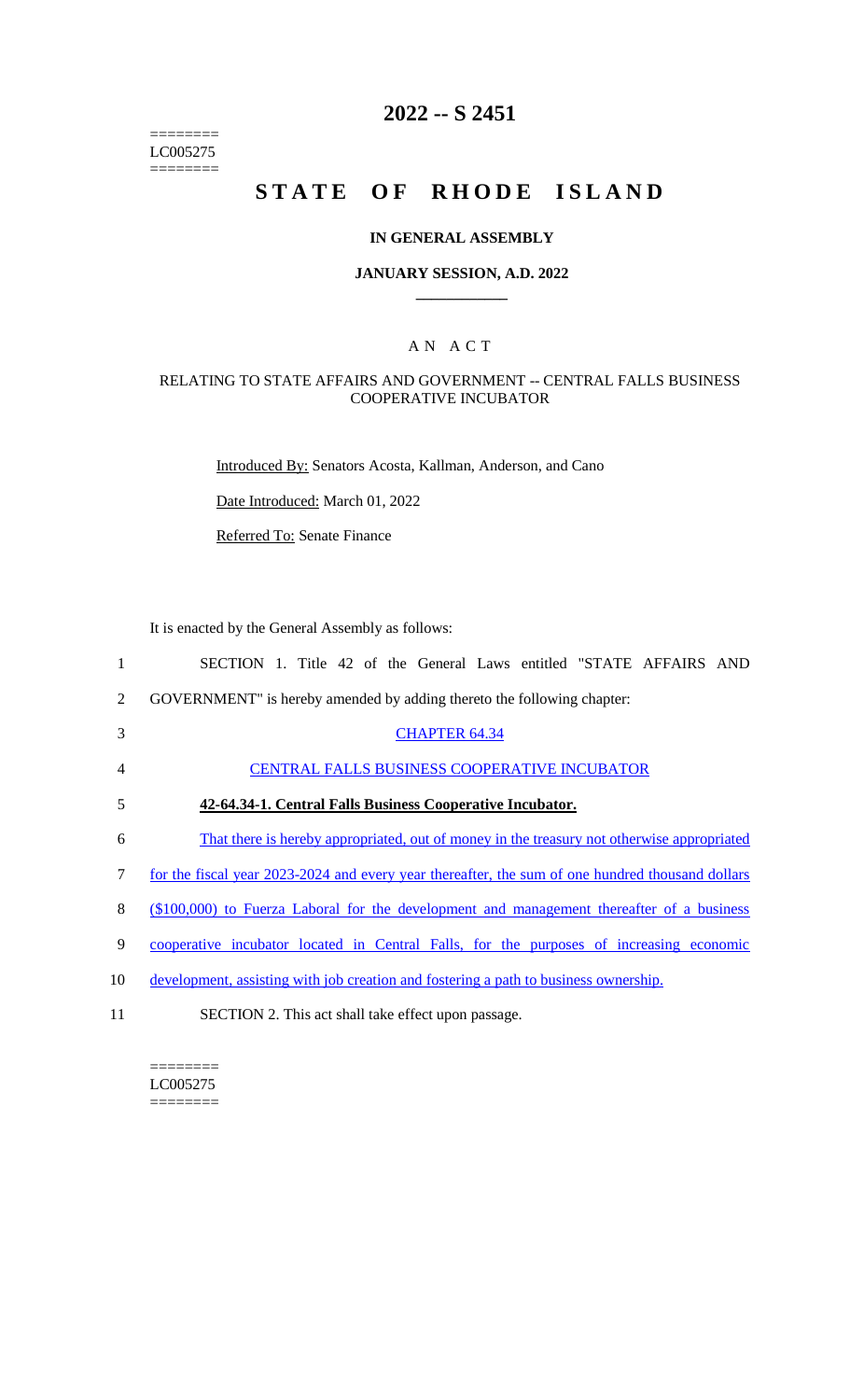======== LC005275  $=$ 

# **2022 -- S 2451**

# **STATE OF RHODE ISLAND**

### **IN GENERAL ASSEMBLY**

#### **JANUARY SESSION, A.D. 2022 \_\_\_\_\_\_\_\_\_\_\_\_**

#### A N A C T

#### RELATING TO STATE AFFAIRS AND GOVERNMENT -- CENTRAL FALLS BUSINESS COOPERATIVE INCUBATOR

Introduced By: Senators Acosta, Kallman, Anderson, and Cano

Date Introduced: March 01, 2022

Referred To: Senate Finance

It is enacted by the General Assembly as follows:

| 1              | SECTION 1. Title 42 of the General Laws entitled "STATE AFFAIRS AND                              |
|----------------|--------------------------------------------------------------------------------------------------|
| 2              | GOVERNMENT" is hereby amended by adding thereto the following chapter:                           |
| 3              | <b>CHAPTER 64.34</b>                                                                             |
| $\overline{4}$ | CENTRAL FALLS BUSINESS COOPERATIVE INCUBATOR                                                     |
| 5              | 42-64.34-1. Central Falls Business Cooperative Incubator.                                        |
| 6              | That there is hereby appropriated, out of money in the treasury not otherwise appropriated       |
| 7              | for the fiscal year 2023-2024 and every year thereafter, the sum of one hundred thousand dollars |
| 8              | (\$100,000) to Fuerza Laboral for the development and management thereafter of a business        |
| 9              | cooperative incubator located in Central Falls, for the purposes of increasing economic          |
| 10             | development, assisting with job creation and fostering a path to business ownership.             |

11 SECTION 2. This act shall take effect upon passage.

 $=$ LC005275 ========